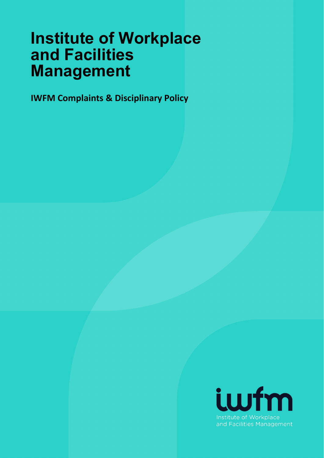# **Institute of Workplace and Facilities Management**

**IWFM Complaints & Disciplinary Policy** 

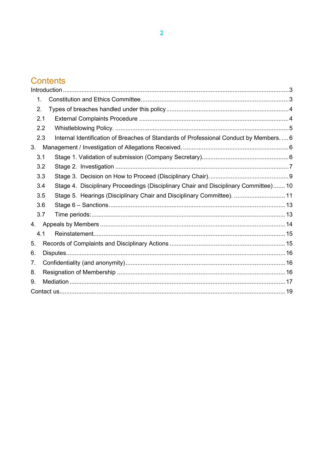## **Contents**

|    | 1.  |                                                                                       |  |  |  |
|----|-----|---------------------------------------------------------------------------------------|--|--|--|
|    | 2.  |                                                                                       |  |  |  |
|    | 2.1 |                                                                                       |  |  |  |
|    | 2.2 |                                                                                       |  |  |  |
|    | 2.3 | Internal Identification of Breaches of Standards of Professional Conduct by Members 6 |  |  |  |
| 3. |     |                                                                                       |  |  |  |
|    | 3.1 |                                                                                       |  |  |  |
|    | 3.2 |                                                                                       |  |  |  |
|    | 3.3 |                                                                                       |  |  |  |
|    | 3.4 | Stage 4. Disciplinary Proceedings (Disciplinary Chair and Disciplinary Committee) 10  |  |  |  |
|    | 3.5 | Stage 5. Hearings (Disciplinary Chair and Disciplinary Committee).  11                |  |  |  |
|    | 3.6 |                                                                                       |  |  |  |
|    | 3.7 |                                                                                       |  |  |  |
| 4. |     |                                                                                       |  |  |  |
|    | 4.1 |                                                                                       |  |  |  |
| 5. |     |                                                                                       |  |  |  |
| 6. |     |                                                                                       |  |  |  |
| 7. |     |                                                                                       |  |  |  |
| 8. |     |                                                                                       |  |  |  |
| 9. |     |                                                                                       |  |  |  |
|    |     |                                                                                       |  |  |  |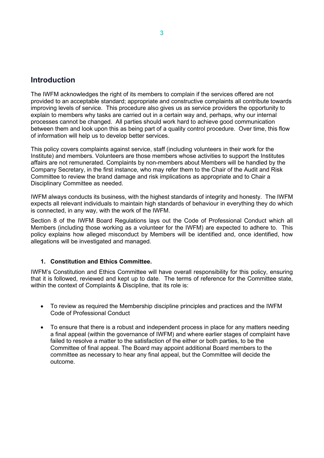## <span id="page-2-0"></span>**Introduction**

The IWFM acknowledges the right of its members to complain if the services offered are not provided to an acceptable standard; appropriate and constructive complaints all contribute towards improving levels of service. This procedure also gives us as service providers the opportunity to explain to members why tasks are carried out in a certain way and, perhaps, why our internal processes cannot be changed. All parties should work hard to achieve good communication between them and look upon this as being part of a quality control procedure. Over time, this flow of information will help us to develop better services.

This policy covers complaints against service, staff (including volunteers in their work for the Institute) and members. Volunteers are those members whose activities to support the Institutes affairs are not remunerated. Complaints by non-members about Members will be handled by the Company Secretary, in the first instance, who may refer them to the Chair of the Audit and Risk Committee to review the brand damage and risk implications as appropriate and to Chair a Disciplinary Committee as needed.

IWFM always conducts its business, with the highest standards of integrity and honesty. The IWFM expects all relevant individuals to maintain high standards of behaviour in everything they do which is connected, in any way, with the work of the IWFM.

Section 8 of the IWFM Board Regulations lays out the Code of Professional Conduct which all Members (including those working as a volunteer for the IWFM) are expected to adhere to. This policy explains how alleged misconduct by Members will be identified and, once identified, how allegations will be investigated and managed.

#### **1. Constitution and Ethics Committee.**

<span id="page-2-1"></span>IWFM's Constitution and Ethics Committee will have overall responsibility for this policy, ensuring that it is followed, reviewed and kept up to date. The terms of reference for the Committee state, within the context of Complaints & Discipline, that its role is:

- To review as required the Membership discipline principles and practices and the IWFM Code of Professional Conduct
- To ensure that there is a robust and independent process in place for any matters needing a final appeal (within the governance of IWFM) and where earlier stages of complaint have failed to resolve a matter to the satisfaction of the either or both parties, to be the Committee of final appeal. The Board may appoint additional Board members to the committee as necessary to hear any final appeal, but the Committee will decide the outcome.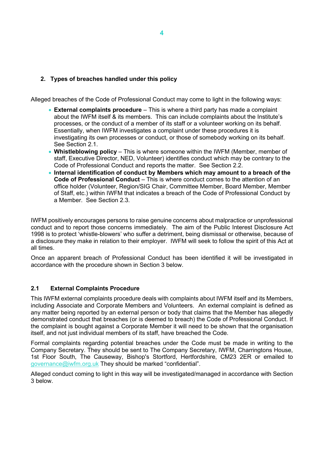#### <span id="page-3-0"></span>**2. Types of breaches handled under this policy**

Alleged breaches of the Code of Professional Conduct may come to light in the following ways:

- **External complaints procedure** This is where a third party has made a complaint about the IWFM itself & its members. This can include complaints about the Institute's processes, or the conduct of a member of its staff or a volunteer working on its behalf. Essentially, when IWFM investigates a complaint under these procedures it is investigating its own processes or conduct, or those of somebody working on its behalf. See Section 2.1.
- **Whistleblowing policy** This is where someone within the IWFM (Member, member of staff, Executive Director, NED, Volunteer) identifies conduct which may be contrary to the Code of Professional Conduct and reports the matter. See Section 2.2.
- **Internal identification of conduct by Members which may amount to a breach of the Code of Professional Conduct** – This is where conduct comes to the attention of an office holder (Volunteer, Region/SIG Chair, Committee Member, Board Member, Member of Staff, etc.) within IWFM that indicates a breach of the Code of Professional Conduct by a Member. See Section 2.3.

IWFM positively encourages persons to raise genuine concerns about malpractice or unprofessional conduct and to report those concerns immediately. The aim of the Public Interest Disclosure Act 1998 is to protect 'whistle-blowers' who suffer a detriment, being dismissal or otherwise, because of a disclosure they make in relation to their employer. IWFM will seek to follow the spirit of this Act at all times.

Once an apparent breach of Professional Conduct has been identified it will be investigated in accordance with the procedure shown in Section 3 below.

#### <span id="page-3-1"></span>**2.1 External Complaints Procedure**

This IWFM external complaints procedure deals with complaints about IWFM itself and its Members, including Associate and Corporate Members and Volunteers. An external complaint is defined as any matter being reported by an external person or body that claims that the Member has allegedly demonstrated conduct that breaches (or is deemed to breach) the Code of Professional Conduct. If the complaint is bought against a Corporate Member it will need to be shown that the organisation itself, and not just individual members of its staff, have breached the Code.

Formal complaints regarding potential breaches under the Code must be made in writing to the Company Secretary. They should be sent to The Company Secretary, IWFM, Charringtons House, 1st Floor South, The Causeway, Bishop's Stortford, Hertfordshire, CM23 2ER or emailed to [governance@iwfm.org.uk](mailto:governance@iwfm.org.uk) They should be marked "confidential".

Alleged conduct coming to light in this way will be investigated/managed in accordance with Section 3 below.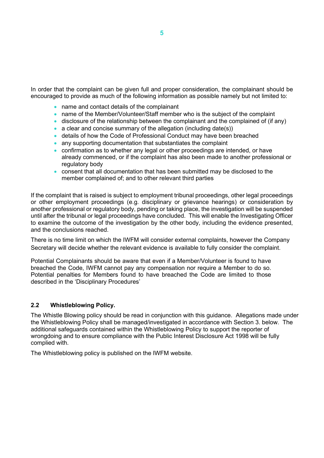In order that the complaint can be given full and proper consideration, the complainant should be encouraged to provide as much of the following information as possible namely but not limited to:

- name and contact details of the complainant
- name of the Member/Volunteer/Staff member who is the subject of the complaint
- disclosure of the relationship between the complainant and the complained of (if any)
- a clear and concise summary of the allegation (including date(s))
- details of how the Code of Professional Conduct may have been breached
- any supporting documentation that substantiates the complaint
- confirmation as to whether any legal or other proceedings are intended, or have already commenced, or if the complaint has also been made to another professional or regulatory body
- consent that all documentation that has been submitted may be disclosed to the member complained of; and to other relevant third parties

If the complaint that is raised is subject to employment tribunal proceedings, other legal proceedings or other employment proceedings (e.g. disciplinary or grievance hearings) or consideration by another professional or regulatory body, pending or taking place, the investigation will be suspended until after the tribunal or legal proceedings have concluded. This will enable the Investigating Officer to examine the outcome of the investigation by the other body, including the evidence presented, and the conclusions reached.

There is no time limit on which the IWFM will consider external complaints, however the Company Secretary will decide whether the relevant evidence is available to fully consider the complaint.

Potential Complainants should be aware that even if a Member/Volunteer is found to have breached the Code, IWFM cannot pay any compensation nor require a Member to do so. Potential penalties for Members found to have breached the Code are limited to those described in the 'Disciplinary Procedures'

#### <span id="page-4-0"></span>**2.2 Whistleblowing Policy.**

The Whistle Blowing policy should be read in conjunction with this guidance. Allegations made under the Whistleblowing Policy shall be managed/investigated in accordance with Section 3. below. The additional safeguards contained within the Whistleblowing Policy to support the reporter of wrongdoing and to ensure compliance with the Public Interest Disclosure Act 1998 will be fully complied with.

The Whistleblowing policy is published on the IWFM website.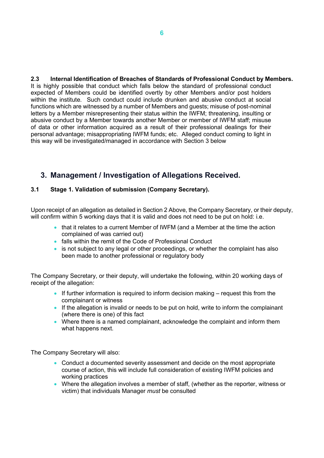<span id="page-5-0"></span>**2.3 Internal Identification of Breaches of Standards of Professional Conduct by Members.** It is highly possible that conduct which falls below the standard of professional conduct expected of Members could be identified overtly by other Members and/or post holders within the institute. Such conduct could include drunken and abusive conduct at social functions which are witnessed by a number of Members and guests; misuse of post-nominal letters by a Member misrepresenting their status within the IWFM; threatening, insulting or abusive conduct by a Member towards another Member or member of IWFM staff; misuse of data or other information acquired as a result of their professional dealings for their personal advantage; misappropriating IWFM funds; etc. Alleged conduct coming to light in this way will be investigated/managed in accordance with Section 3 below

## <span id="page-5-1"></span>**3. Management / Investigation of Allegations Received.**

#### <span id="page-5-2"></span>**3.1 Stage 1. Validation of submission (Company Secretary).**

Upon receipt of an allegation as detailed in Section 2 Above, the Company Secretary, or their deputy, will confirm within 5 working days that it is valid and does not need to be put on hold: i.e.

- that it relates to a current Member of IWFM (and a Member at the time the action complained of was carried out)
- falls within the remit of the Code of Professional Conduct
- is not subject to any legal or other proceedings, or whether the complaint has also been made to another professional or regulatory body

The Company Secretary, or their deputy, will undertake the following, within 20 working days of receipt of the allegation:

- If further information is required to inform decision making request this from the complainant or witness
- If the allegation is invalid or needs to be put on hold, write to inform the complainant (where there is one) of this fact
- Where there is a named complainant, acknowledge the complaint and inform them what happens next.

The Company Secretary will also:

- Conduct a documented severity assessment and decide on the most appropriate course of action, this will include full consideration of existing IWFM policies and working practices
- Where the allegation involves a member of staff, (whether as the reporter, witness or victim) that individuals Manager *must* be consulted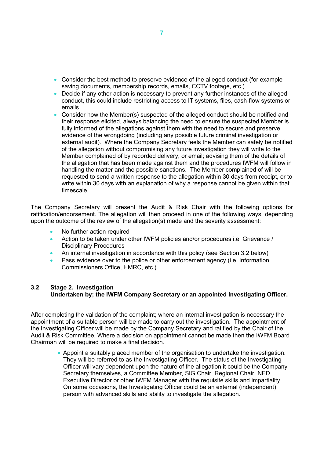- Consider the best method to preserve evidence of the alleged conduct (for example saving documents, membership records, emails, CCTV footage, etc.)
- Decide if any other action is necessary to prevent any further instances of the alleged conduct, this could include restricting access to IT systems, files, cash-flow systems or emails
- Consider how the Member(s) suspected of the alleged conduct should be notified and their response elicited, always balancing the need to ensure the suspected Member is fully informed of the allegations against them with the need to secure and preserve evidence of the wrongdoing (including any possible future criminal investigation or external audit). Where the Company Secretary feels the Member can safely be notified of the allegation without compromising any future investigation they will write to the Member complained of by recorded delivery, or email; advising them of the details of the allegation that has been made against them and the procedures IWFM will follow in handling the matter and the possible sanctions. The Member complained of will be requested to send a written response to the allegation within 30 days from receipt, or to write within 30 days with an explanation of why a response cannot be given within that timescale.

The Company Secretary will present the Audit & Risk Chair with the following options for ratification/endorsement. The allegation will then proceed in one of the following ways, depending upon the outcome of the review of the allegation(s) made and the severity assessment:

- No further action required
- Action to be taken under other IWFM policies and/or procedures i.e. Grievance / Disciplinary Procedures
- An internal investigation in accordance with this policy (see Section 3.2 below)
- Pass evidence over to the police or other enforcement agency (i.e. Information Commissioners Office, HMRC, etc.)

#### <span id="page-6-0"></span>**3.2 Stage 2. Investigation Undertaken by; the IWFM Company Secretary or an appointed Investigating Officer.**

After completing the validation of the complaint; where an internal investigation is necessary the appointment of a suitable person will be made to carry out the investigation. The appointment of the Investigating Officer will be made by the Company Secretary and ratified by the Chair of the Audit & Risk Committee. Where a decision on appointment cannot be made then the IWFM Board Chairman will be required to make a final decision.

> • Appoint a suitably placed member of the organisation to undertake the investigation. They will be referred to as the Investigating Officer. The status of the Investigating Officer will vary dependent upon the nature of the allegation it could be the Company Secretary themselves, a Committee Member, SIG Chair, Regional Chair, NED, Executive Director or other IWFM Manager with the requisite skills and impartiality. On some occasions, the Investigating Officer could be an external (independent) person with advanced skills and ability to investigate the allegation.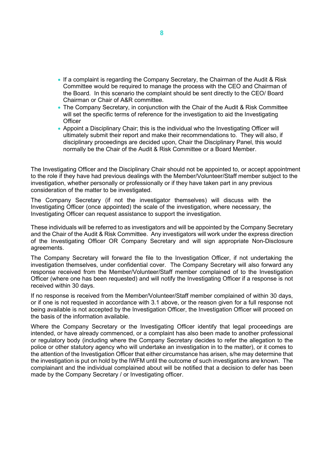- If a complaint is regarding the Company Secretary, the Chairman of the Audit & Risk Committee would be required to manage the process with the CEO and Chairman of the Board. In this scenario the complaint should be sent directly to the CEO/ Board Chairman or Chair of A&R committee.
- The Company Secretary, in conjunction with the Chair of the Audit & Risk Committee will set the specific terms of reference for the investigation to aid the Investigating **Officer**
- Appoint a Disciplinary Chair; this is the individual who the Investigating Officer will ultimately submit their report and make their recommendations to. They will also, if disciplinary proceedings are decided upon, Chair the Disciplinary Panel, this would normally be the Chair of the Audit & Risk Committee or a Board Member.

The Investigating Officer and the Disciplinary Chair should not be appointed to, or accept appointment to the role if they have had previous dealings with the Member/Volunteer/Staff member subject to the investigation, whether personally or professionally or if they have taken part in any previous consideration of the matter to be investigated.

The Company Secretary (if not the investigator themselves) will discuss with the Investigating Officer (once appointed) the scale of the investigation, where necessary, the Investigating Officer can request assistance to support the investigation.

These individuals will be referred to as investigators and will be appointed by the Company Secretary and the Chair of the Audit & Risk Committee. Any investigators will work under the express direction of the Investigating Officer OR Company Secretary and will sign appropriate Non-Disclosure agreements.

The Company Secretary will forward the file to the Investigation Officer, if not undertaking the investigation themselves, under confidential cover. The Company Secretary will also forward any response received from the Member/Volunteer/Staff member complained of to the Investigation Officer (where one has been requested) and will notify the Investigating Officer if a response is not received within 30 days.

If no response is received from the Member/Volunteer/Staff member complained of within 30 days, or if one is not requested in accordance with 3.1 above, or the reason given for a full response not being available is not accepted by the Investigation Officer, the Investigation Officer will proceed on the basis of the information available.

Where the Company Secretary or the Investigating Officer identify that legal proceedings are intended, or have already commenced, or a complaint has also been made to another professional or regulatory body (including where the Company Secretary decides to refer the allegation to the police or other statutory agency who will undertake an investigation in to the matter), or it comes to the attention of the Investigation Officer that either circumstance has arisen, s/he may determine that the investigation is put on hold by the IWFM until the outcome of such investigations are known. The complainant and the individual complained about will be notified that a decision to defer has been made by the Company Secretary / or Investigating officer.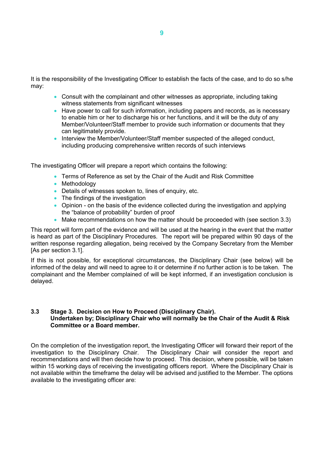It is the responsibility of the Investigating Officer to establish the facts of the case, and to do so s/he may:

- Consult with the complainant and other witnesses as appropriate, including taking witness statements from significant witnesses
- Have power to call for such information, including papers and records, as is necessary to enable him or her to discharge his or her functions, and it will be the duty of any Member/Volunteer/Staff member to provide such information or documents that they can legitimately provide.
- Interview the Member/Volunteer/Staff member suspected of the alleged conduct, including producing comprehensive written records of such interviews

The investigating Officer will prepare a report which contains the following:

- Terms of Reference as set by the Chair of the Audit and Risk Committee
- Methodology
- Details of witnesses spoken to, lines of enquiry, etc.
- The findings of the investigation
- Opinion on the basis of the evidence collected during the investigation and applying the "balance of probability" burden of proof
- Make recommendations on how the matter should be proceeded with (see section 3.3)

This report will form part of the evidence and will be used at the hearing in the event that the matter is heard as part of the Disciplinary Procedures. The report will be prepared within 90 days of the written response regarding allegation, being received by the Company Secretary from the Member [As per section 3.1].

If this is not possible, for exceptional circumstances, the Disciplinary Chair (see below) will be informed of the delay and will need to agree to it or determine if no further action is to be taken. The complainant and the Member complained of will be kept informed, if an investigation conclusion is delayed.

#### <span id="page-8-0"></span>**3.3 Stage 3. Decision on How to Proceed (Disciplinary Chair). Undertaken by; Disciplinary Chair who will normally be the Chair of the Audit & Risk Committee or a Board member.**

On the completion of the investigation report, the Investigating Officer will forward their report of the investigation to the Disciplinary Chair. The Disciplinary Chair will consider the report and recommendations and will then decide how to proceed. This decision, where possible, will be taken within 15 working days of receiving the investigating officers report. Where the Disciplinary Chair is not available within the timeframe the delay will be advised and justified to the Member. The options available to the investigating officer are: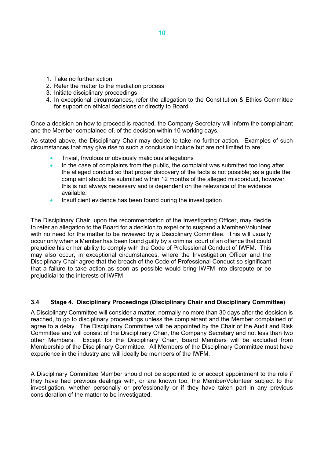- 1. Take no further action
- 2. Refer the matter to the mediation process
- 3. Initiate disciplinary proceedings
- 4. In exceptional circumstances, refer the allegation to the Constitution & Ethics Committee for support on ethical decisions or directly to Board

Once a decision on how to proceed is reached, the Company Secretary will inform the complainant and the Member complained of, of the decision within 10 working days.

As stated above, the Disciplinary Chair may decide to take no further action. Examples of such circumstances that may give rise to such a conclusion include but are not limited to are:

- Trivial, frivolous or obviously malicious allegations
- In the case of complaints from the public, the complaint was submitted too long after the alleged conduct so that proper discovery of the facts is not possible; as a guide the complaint should be submitted within 12 months of the alleged misconduct, however this is not always necessary and is dependent on the relevance of the evidence available.
- Insufficient evidence has been found during the investigation

The Disciplinary Chair, upon the recommendation of the Investigating Officer, may decide to refer an allegation to the Board for a decision to expel or to suspend a Member/Volunteer with no need for the matter to be reviewed by a Disciplinary Committee. This will usually occur only when a Member has been found guilty by a criminal court of an offence that could prejudice his or her ability to comply with the Code of Professional Conduct of IWFM. This may also occur, in exceptional circumstances, where the Investigation Officer and the Disciplinary Chair agree that the breach of the Code of Professional Conduct so significant that a failure to take action as soon as possible would bring IWFM into disrepute or be prejudicial to the interests of IWFM

#### <span id="page-9-0"></span>**3.4 Stage 4. Disciplinary Proceedings (Disciplinary Chair and Disciplinary Committee)**

A Disciplinary Committee will consider a matter, normally no more than 30 days after the decision is reached, to go to disciplinary proceedings unless the complainant and the Member complained of agree to a delay. The Disciplinary Committee will be appointed by the Chair of the Audit and Risk Committee and will consist of the Disciplinary Chair, the Company Secretary and not less than two other Members. Except for the Disciplinary Chair, Board Members will be excluded from Membership of the Disciplinary Committee. All Members of the Disciplinary Committee must have experience in the industry and will ideally be members of the IWFM.

A Disciplinary Committee Member should not be appointed to or accept appointment to the role if they have had previous dealings with, or are known too, the Member/Volunteer subject to the investigation, whether personally or professionally or if they have taken part in any previous consideration of the matter to be investigated.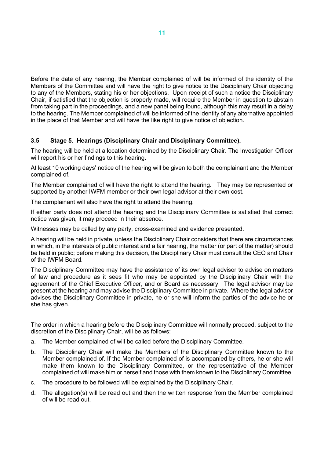Before the date of any hearing, the Member complained of will be informed of the identity of the Members of the Committee and will have the right to give notice to the Disciplinary Chair objecting to any of the Members, stating his or her objections. Upon receipt of such a notice the Disciplinary Chair, if satisfied that the objection is properly made, will require the Member in question to abstain from taking part in the proceedings, and a new panel being found, although this may result in a delay to the hearing. The Member complained of will be informed of the identity of any alternative appointed in the place of that Member and will have the like right to give notice of objection.

#### <span id="page-10-0"></span>**3.5 Stage 5. Hearings (Disciplinary Chair and Disciplinary Committee).**

The hearing will be held at a location determined by the Disciplinary Chair. The Investigation Officer will report his or her findings to this hearing.

At least 10 working days' notice of the hearing will be given to both the complainant and the Member complained of.

The Member complained of will have the right to attend the hearing. They may be represented or supported by another IWFM member or their own legal advisor at their own cost.

The complainant will also have the right to attend the hearing.

If either party does not attend the hearing and the Disciplinary Committee is satisfied that correct notice was given, it may proceed in their absence.

Witnesses may be called by any party, cross-examined and evidence presented.

A hearing will be held in private, unless the Disciplinary Chair considers that there are circumstances in which, in the interests of public interest and a fair hearing, the matter (or part of the matter) should be held in public; before making this decision, the Disciplinary Chair must consult the CEO and Chair of the IWFM Board.

The Disciplinary Committee may have the assistance of its own legal advisor to advise on matters of law and procedure as it sees fit who may be appointed by the Disciplinary Chair with the agreement of the Chief Executive Officer, and or Board as necessary. The legal advisor may be present at the hearing and may advise the Disciplinary Committee in private. Where the legal advisor advises the Disciplinary Committee in private, he or she will inform the parties of the advice he or she has given.

The order in which a hearing before the Disciplinary Committee will normally proceed, subject to the discretion of the Disciplinary Chair, will be as follows:

- a. The Member complained of will be called before the Disciplinary Committee.
- b. The Disciplinary Chair will make the Members of the Disciplinary Committee known to the Member complained of. If the Member complained of is accompanied by others, he or she will make them known to the Disciplinary Committee, or the representative of the Member complained of will make him or herself and those with them known to the Disciplinary Committee.
- c. The procedure to be followed will be explained by the Disciplinary Chair.
- d. The allegation(s) will be read out and then the written response from the Member complained of will be read out.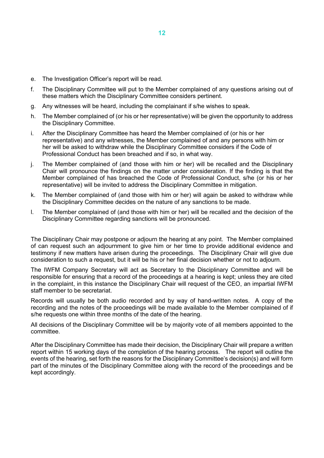- e. The Investigation Officer's report will be read.
- f. The Disciplinary Committee will put to the Member complained of any questions arising out of these matters which the Disciplinary Committee considers pertinent.
- g. Any witnesses will be heard, including the complainant if s/he wishes to speak.
- h. The Member complained of (or his or her representative) will be given the opportunity to address the Disciplinary Committee.
- i. After the Disciplinary Committee has heard the Member complained of (or his or her representative) and any witnesses, the Member complained of and any persons with him or her will be asked to withdraw while the Disciplinary Committee considers if the Code of Professional Conduct has been breached and if so, in what way.
- j. The Member complained of (and those with him or her) will be recalled and the Disciplinary Chair will pronounce the findings on the matter under consideration. If the finding is that the Member complained of has breached the Code of Professional Conduct, s/he (or his or her representative) will be invited to address the Disciplinary Committee in mitigation.
- k. The Member complained of (and those with him or her) will again be asked to withdraw while the Disciplinary Committee decides on the nature of any sanctions to be made.
- l. The Member complained of (and those with him or her) will be recalled and the decision of the Disciplinary Committee regarding sanctions will be pronounced.

The Disciplinary Chair may postpone or adjourn the hearing at any point. The Member complained of can request such an adjournment to give him or her time to provide additional evidence and testimony if new matters have arisen during the proceedings. The Disciplinary Chair will give due consideration to such a request, but it will be his or her final decision whether or not to adjourn.

The IWFM Company Secretary will act as Secretary to the Disciplinary Committee and will be responsible for ensuring that a record of the proceedings at a hearing is kept; unless they are cited in the complaint, in this instance the Disciplinary Chair will request of the CEO, an impartial IWFM staff member to be secretariat.

Records will usually be both audio recorded and by way of hand-written notes. A copy of the recording and the notes of the proceedings will be made available to the Member complained of if s/he requests one within three months of the date of the hearing.

All decisions of the Disciplinary Committee will be by majority vote of all members appointed to the committee.

After the Disciplinary Committee has made their decision, the Disciplinary Chair will prepare a written report within 15 working days of the completion of the hearing process. The report will outline the events of the hearing, set forth the reasons for the Disciplinary Committee's decision(s) and will form part of the minutes of the Disciplinary Committee along with the record of the proceedings and be kept accordingly.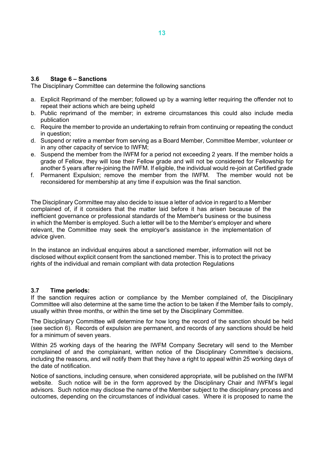#### <span id="page-12-0"></span>**3.6 Stage 6 – Sanctions**

The Disciplinary Committee can determine the following sanctions

- a. Explicit Reprimand of the member; followed up by a warning letter requiring the offender not to repeat their actions which are being upheld
- b. Public reprimand of the member; in extreme circumstances this could also include media publication
- c. Require the member to provide an undertaking to refrain from continuing or repeating the conduct in question;
- d. Suspend or retire a member from serving as a Board Member, Committee Member, volunteer or in any other capacity of service to IWFM;
- e. Suspend the member from the IWFM for a period not exceeding 2 years. If the member holds a grade of Fellow, they will lose their Fellow grade and will not be considered for Fellowship for another 5 years after re-joining the IWFM. If eligible, the individual would re-join at Certified grade
- f. Permanent Expulsion; remove the member from the IWFM. The member would not be reconsidered for membership at any time if expulsion was the final sanction.

The Disciplinary Committee may also decide to issue a letter of advice in regard to a Member complained of, if it considers that the matter laid before it has arisen because of the inefficient governance or professional standards of the Member's business or the business in which the Member is employed. Such a letter will be to the Member's employer and where relevant, the Committee may seek the employer's assistance in the implementation of advice given.

In the instance an individual enquires about a sanctioned member, information will not be disclosed without explicit consent from the sanctioned member. This is to protect the privacy rights of the individual and remain compliant with data protection Regulations

#### <span id="page-12-1"></span>**3.7 Time periods:**

If the sanction requires action or compliance by the Member complained of, the Disciplinary Committee will also determine at the same time the action to be taken if the Member fails to comply, usually within three months, or within the time set by the Disciplinary Committee.

The Disciplinary Committee will determine for how long the record of the sanction should be held (see section 6). Records of expulsion are permanent, and records of any sanctions should be held for a minimum of seven years.

Within 25 working days of the hearing the IWFM Company Secretary will send to the Member complained of and the complainant, written notice of the Disciplinary Committee's decisions, including the reasons, and will notify them that they have a right to appeal within 25 working days of the date of notification.

Notice of sanctions, including censure, when considered appropriate, will be published on the IWFM website. Such notice will be in the form approved by the Disciplinary Chair and IWFM's legal advisors. Such notice may disclose the name of the Member subject to the disciplinary process and outcomes, depending on the circumstances of individual cases. Where it is proposed to name the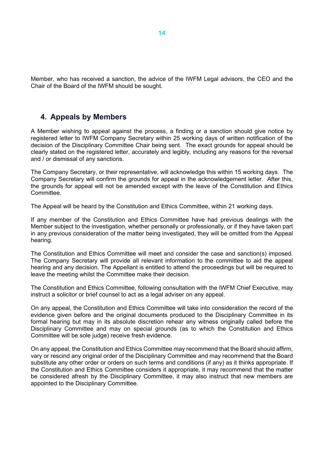Member, who has received a sanction, the advice of the IWFM Legal advisors, the CEO and the Chair of the Board of the IWFM should be sought.

## <span id="page-13-0"></span>**4. Appeals by Members**

A Member wishing to appeal against the process, a finding or a sanction should give notice by registered letter to IWFM Company Secretary within 25 working days of written notification of the decision of the Disciplinary Committee Chair being sent. The exact grounds for appeal should be clearly stated on the registered letter, accurately and legibly, including any reasons for the reversal and / or dismissal of any sanctions.

The Company Secretary, or their representative, will acknowledge this within 15 working days. The Company Secretary will confirm the grounds for appeal in the acknowledgement letter. After this, the grounds for appeal will not be amended except with the leave of the Constitution and Ethics Committee.

The Appeal will be heard by the Constitution and Ethics Committee, within 21 working days.

If any member of the Constitution and Ethics Committee have had previous dealings with the Member subject to the investigation, whether personally or professionally, or if they have taken part in any previous consideration of the matter being investigated, they will be omitted from the Appeal hearing.

The Constitution and Ethics Committee will meet and consider the case and sanction(s) imposed. The Company Secretary will provide all relevant information to the committee to aid the appeal hearing and any decision. The Appellant is entitled to attend the proceedings but will be required to leave the meeting whilst the Committee make their decision.

The Constitution and Ethics Committee, following consultation with the IWFM Chief Executive, may instruct a solicitor or brief counsel to act as a legal adviser on any appeal.

On any appeal, the Constitution and Ethics Committee will take into consideration the record of the evidence given before and the original documents produced to the Disciplinary Committee in its formal hearing but may in its absolute discretion rehear any witness originally called before the Disciplinary Committee and may on special grounds (as to which the Constitution and Ethics Committee will be sole judge) receive fresh evidence.

On any appeal, the Constitution and Ethics Committee may recommend that the Board should affirm, vary or rescind any original order of the Disciplinary Committee and may recommend that the Board substitute any other order or orders on such terms and conditions (if any) as it thinks appropriate. If the Constitution and Ethics Committee considers it appropriate, it may recommend that the matter be considered afresh by the Disciplinary Committee, it may also instruct that new members are appointed to the Disciplinary Committee.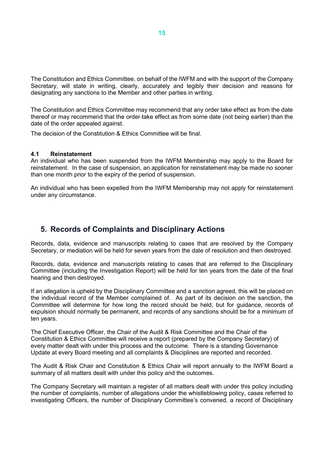The Constitution and Ethics Committee, on behalf of the IWFM and with the support of the Company Secretary, will state in writing, clearly, accurately and legibly their decision and reasons for designating any sanctions to the Member and other parties in writing.

The Constitution and Ethics Committee may recommend that any order take effect as from the date thereof or may recommend that the order take effect as from some date (not being earlier) than the date of the order appealed against.

The decision of the Constitution & Ethics Committee will be final.

#### <span id="page-14-0"></span>**4.1 Reinstatement**

An individual who has been suspended from the IWFM Membership may apply to the Board for reinstatement. In the case of suspension, an application for reinstatement may be made no sooner than one month prior to the expiry of the period of suspension.

An individual who has been expelled from the IWFM Membership may not apply for reinstatement under any circumstance.

## <span id="page-14-1"></span>**5. Records of Complaints and Disciplinary Actions**

Records, data, evidence and manuscripts relating to cases that are resolved by the Company Secretary, or mediation will be held for seven years from the date of resolution and then destroyed.

Records, data, evidence and manuscripts relating to cases that are referred to the Disciplinary Committee (including the Investigation Report) will be held for ten years from the date of the final hearing and then destroyed.

If an allegation is upheld by the Disciplinary Committee and a sanction agreed, this will be placed on the individual record of the Member complained of. As part of its decision on the sanction, the Committee will determine for how long the record should be held, but for guidance, records of expulsion should normally be permanent, and records of any sanctions should be for a minimum of ten years.

The Chief Executive Officer, the Chair of the Audit & Risk Committee and the Chair of the Constitution & Ethics Committee will receive a report (prepared by the Company Secretary) of every matter dealt with under this process and the outcome. There is a standing Governance Update at every Board meeting and all complaints & Disciplines are reported and recorded.

The Audit & Risk Chair and Constitution & Ethics Chair will report annually to the IWFM Board a summary of all matters dealt with under this policy and the outcomes.

The Company Secretary will maintain a register of all matters dealt with under this policy including the number of complaints, number of allegations under the whistleblowing policy, cases referred to investigating Officers, the number of Disciplinary Committee's convened, a record of Disciplinary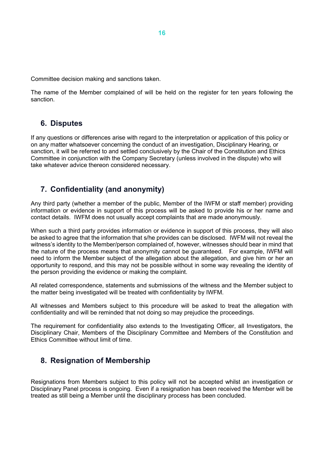Committee decision making and sanctions taken.

The name of the Member complained of will be held on the register for ten years following the sanction.

## <span id="page-15-0"></span>**6. Disputes**

If any questions or differences arise with regard to the interpretation or application of this policy or on any matter whatsoever concerning the conduct of an investigation, Disciplinary Hearing, or sanction, it will be referred to and settled conclusively by the Chair of the Constitution and Ethics Committee in conjunction with the Company Secretary (unless involved in the dispute) who will take whatever advice thereon considered necessary.

## <span id="page-15-1"></span>**7. Confidentiality (and anonymity)**

Any third party (whether a member of the public, Member of the IWFM or staff member) providing information or evidence in support of this process will be asked to provide his or her name and contact details. IWFM does not usually accept complaints that are made anonymously.

When such a third party provides information or evidence in support of this process, they will also be asked to agree that the information that s/he provides can be disclosed. IWFM will not reveal the witness's identity to the Member/person complained of, however, witnesses should bear in mind that the nature of the process means that anonymity cannot be guaranteed. For example, IWFM will need to inform the Member subject of the allegation about the allegation, and give him or her an opportunity to respond, and this may not be possible without in some way revealing the identity of the person providing the evidence or making the complaint.

All related correspondence, statements and submissions of the witness and the Member subject to the matter being investigated will be treated with confidentiality by IWFM.

All witnesses and Members subject to this procedure will be asked to treat the allegation with confidentiality and will be reminded that not doing so may prejudice the proceedings.

The requirement for confidentiality also extends to the Investigating Officer, all Investigators, the Disciplinary Chair, Members of the Disciplinary Committee and Members of the Constitution and Ethics Committee without limit of time.

## <span id="page-15-2"></span>**8. Resignation of Membership**

Resignations from Members subject to this policy will not be accepted whilst an investigation or Disciplinary Panel process is ongoing. Even if a resignation has been received the Member will be treated as still being a Member until the disciplinary process has been concluded.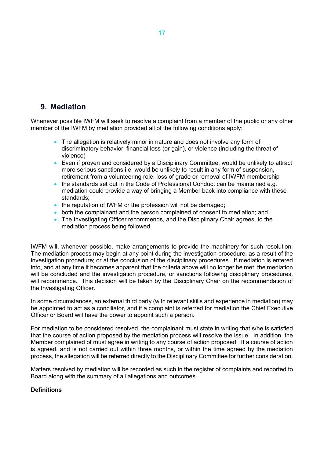## <span id="page-16-0"></span>**9. Mediation**

Whenever possible IWFM will seek to resolve a complaint from a member of the public or any other member of the IWFM by mediation provided all of the following conditions apply:

- The allegation is relatively minor in nature and does not involve any form of discriminatory behavior, financial loss (or gain), or violence (including the threat of violence)
- Even if proven and considered by a Disciplinary Committee, would be unlikely to attract more serious sanctions i.e. would be unlikely to result in any form of suspension, retirement from a volunteering role, loss of grade or removal of IWFM membership
- the standards set out in the Code of Professional Conduct can be maintained e.g. mediation could provide a way of bringing a Member back into compliance with these standards;
- the reputation of IWFM or the profession will not be damaged;
- both the complainant and the person complained of consent to mediation; and
- The Investigating Officer recommends, and the Disciplinary Chair agrees, to the mediation process being followed.

IWFM will, whenever possible, make arrangements to provide the machinery for such resolution. The mediation process may begin at any point during the investigation procedure; as a result of the investigation procedure; or at the conclusion of the disciplinary procedures. If mediation is entered into, and at any time it becomes apparent that the criteria above will no longer be met, the mediation will be concluded and the investigation procedure, or sanctions following disciplinary procedures, will recommence. This decision will be taken by the Disciplinary Chair on the recommendation of the Investigating Officer.

In some circumstances, an external third party (with relevant skills and experience in mediation) may be appointed to act as a conciliator, and if a complaint is referred for mediation the Chief Executive Officer or Board will have the power to appoint such a person.

For mediation to be considered resolved, the complainant must state in writing that s/he is satisfied that the course of action proposed by the mediation process will resolve the issue. In addition, the Member complained of must agree in writing to any course of action proposed. If a course of action is agreed, and is not carried out within three months, or within the time agreed by the mediation process, the allegation will be referred directly to the Disciplinary Committee for further consideration.

Matters resolved by mediation will be recorded as such in the register of complaints and reported to Board along with the summary of all allegations and outcomes.

#### **Definitions**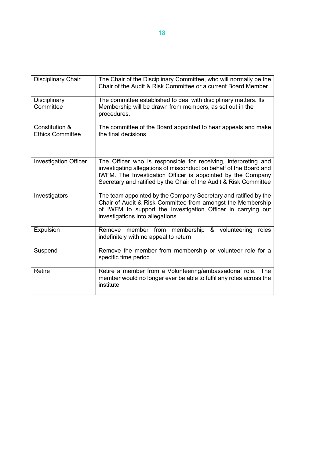| <b>Disciplinary Chair</b>                 | The Chair of the Disciplinary Committee, who will normally be the<br>Chair of the Audit & Risk Committee or a current Board Member.                                                                                                                                      |
|-------------------------------------------|--------------------------------------------------------------------------------------------------------------------------------------------------------------------------------------------------------------------------------------------------------------------------|
| Disciplinary<br>Committee                 | The committee established to deal with disciplinary matters. Its<br>Membership will be drawn from members, as set out in the<br>procedures.                                                                                                                              |
| Constitution &<br><b>Ethics Committee</b> | The committee of the Board appointed to hear appeals and make<br>the final decisions                                                                                                                                                                                     |
| <b>Investigation Officer</b>              | The Officer who is responsible for receiving, interpreting and<br>investigating allegations of misconduct on behalf of the Board and<br>IWFM. The Investigation Officer is appointed by the Company<br>Secretary and ratified by the Chair of the Audit & Risk Committee |
| Investigators                             | The team appointed by the Company Secretary and ratified by the<br>Chair of Audit & Risk Committee from amongst the Membership<br>of IWFM to support the Investigation Officer in carrying out<br>investigations into allegations.                                       |
| Expulsion                                 | Remove member from membership<br>& volunteering<br>roles<br>indefinitely with no appeal to return                                                                                                                                                                        |
| Suspend                                   | Remove the member from membership or volunteer role for a<br>specific time period                                                                                                                                                                                        |
| <b>Retire</b>                             | Retire a member from a Volunteering/ambassadorial role. The<br>member would no longer ever be able to fulfil any roles across the<br>institute                                                                                                                           |